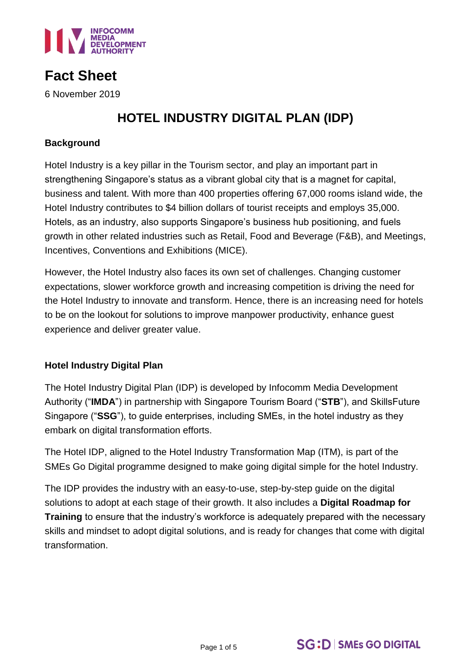

# **Fact Sheet**

6 November 2019

## **HOTEL INDUSTRY DIGITAL PLAN (IDP)**

### **Background**

Hotel Industry is a key pillar in the Tourism sector, and play an important part in strengthening Singapore's status as a vibrant global city that is a magnet for capital, business and talent. With more than 400 properties offering 67,000 rooms island wide, the Hotel Industry contributes to \$4 billion dollars of tourist receipts and employs 35,000. Hotels, as an industry, also supports Singapore's business hub positioning, and fuels growth in other related industries such as Retail, Food and Beverage (F&B), and Meetings, Incentives, Conventions and Exhibitions (MICE).

However, the Hotel Industry also faces its own set of challenges. Changing customer expectations, slower workforce growth and increasing competition is driving the need for the Hotel Industry to innovate and transform. Hence, there is an increasing need for hotels to be on the lookout for solutions to improve manpower productivity, enhance guest experience and deliver greater value.

## **Hotel Industry Digital Plan**

The Hotel Industry Digital Plan (IDP) is developed by Infocomm Media Development Authority ("**IMDA**") in partnership with Singapore Tourism Board ("**STB**"), and SkillsFuture Singapore ("**SSG**"), to guide enterprises, including SMEs, in the hotel industry as they embark on digital transformation efforts.

The Hotel IDP, aligned to the Hotel Industry Transformation Map (ITM), is part of the SMEs Go Digital programme designed to make going digital simple for the hotel Industry.

The IDP provides the industry with an easy-to-use, step-by-step guide on the digital solutions to adopt at each stage of their growth. It also includes a **Digital Roadmap for Training** to ensure that the industry's workforce is adequately prepared with the necessary skills and mindset to adopt digital solutions, and is ready for changes that come with digital transformation.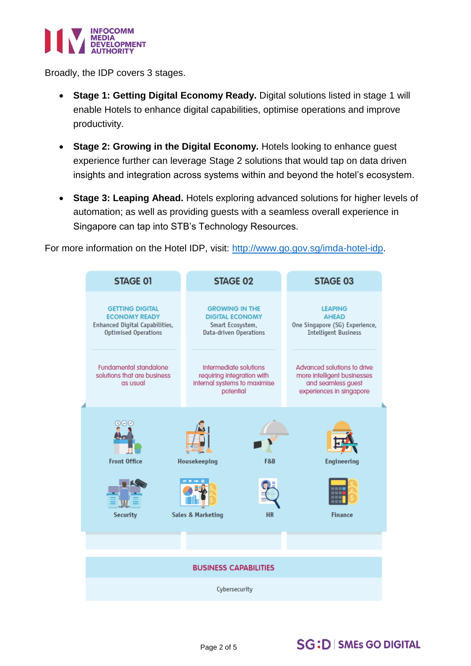

Broadly, the IDP covers 3 stages.

- **Stage 1: Getting Digital Economy Ready.** Digital solutions listed in stage 1 will enable Hotels to enhance digital capabilities, optimise operations and improve productivity.
- Stage 2: Growing in the Digital Economy. Hotels looking to enhance guest experience further can leverage Stage 2 solutions that would tap on data driven insights and integration across systems within and beyond the hotel's ecosystem.
- **Stage 3: Leaping Ahead.** Hotels exploring advanced solutions for higher levels of automation; as well as providing guests with a seamless overall experience in Singapore can tap into STB's Technology Resources.

For more information on the Hotel IDP, visit: [http://www.go.gov.sg/imda-hotel-idp.](http://www.go.gov.sg/imda-hotel-idp)



## **SG:D | SMEs GO DIGITAL**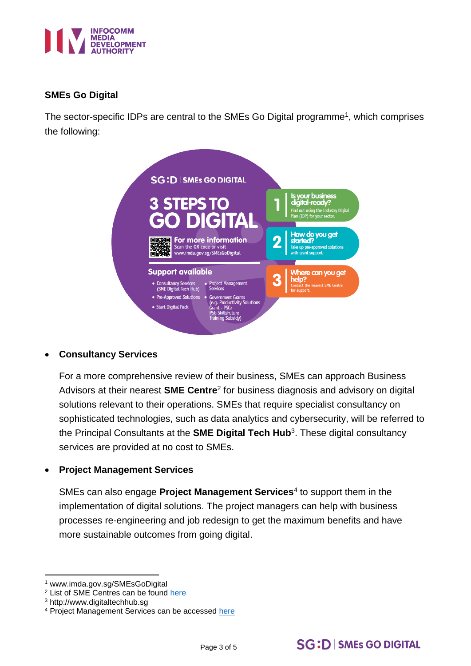

## **SMEs Go Digital**

The sector-specific IDPs are central to the SMEs Go Digital programme<sup>1</sup>, which comprises the following:

|                                                  | <b>SG:D   SMEs GO DIGITAL</b>                                                                                                   |   |                                                                                                          |
|--------------------------------------------------|---------------------------------------------------------------------------------------------------------------------------------|---|----------------------------------------------------------------------------------------------------------|
| 3 STEPS TO                                       | <b>GO DIGITAL</b>                                                                                                               |   | Is your business<br>digital-ready?<br>Find out using the Industry Digital<br>Plan (IDP) for your sector. |
| Scan the QR code or visit                        | <b>For more information</b><br>www.imda.gov.sg/SMEsGoDigital                                                                    | 2 | How do you get<br>Take up pre-approved solutions<br>with grant support.                                  |
| <b>Support available</b>                         |                                                                                                                                 |   | Where can you get                                                                                        |
| • Consultancy Services<br>(SME Digital Tech Hub) | • Project Management<br><b>Services</b>                                                                                         |   | Contact the nearest SME Centre<br>for support.                                                           |
| • Pre-Approved Solutions<br>• Start Digital Pack | <b>Government Grants</b><br>(e.g. Productivity Solutions<br>Grant - PSG:<br><b>PSG SkillsFuture</b><br><b>Training Subsidy)</b> |   |                                                                                                          |

## **Consultancy Services**

For a more comprehensive review of their business, SMEs can approach Business Advisors at their nearest **SME Centre**<sup>2</sup> for business diagnosis and advisory on digital solutions relevant to their operations. SMEs that require specialist consultancy on sophisticated technologies, such as data analytics and cybersecurity, will be referred to the Principal Consultants at the **SME Digital Tech Hub**<sup>3</sup> . These digital consultancy services are provided at no cost to SMEs.

#### **Project Management Services**

SMEs can also engage **Project Management Services**<sup>4</sup> to support them in the implementation of digital solutions. The project managers can help with business processes re-engineering and job redesign to get the maximum benefits and have more sustainable outcomes from going digital.

**<sup>.</sup>** <sup>1</sup> www.imda.gov.sg/SMEsGoDigital

<sup>2</sup> List of SME Centres can be found [here](https://www.enterprisesg.gov.sg/contact/overview)

<sup>3</sup> http://www.digitaltechhub.sg

<sup>4</sup> Project Management Services can be accessed [here](http://www.smfederation.org.sg/capability-capacity-development/project-management-services)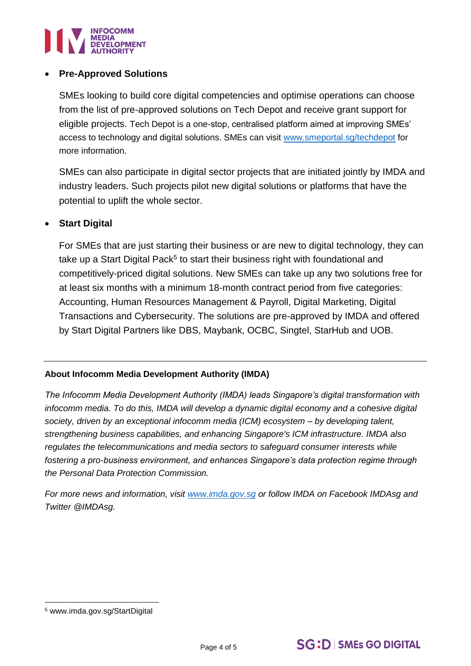

### **Pre-Approved Solutions**

SMEs looking to build core digital competencies and optimise operations can choose from the list of pre-approved solutions on Tech Depot and receive grant support for eligible projects. Tech Depot is a one-stop, centralised platform aimed at improving SMEs' access to technology and digital solutions. SMEs can visit [www.smeportal.sg/techdepot](http://www.smeportal.sg/techdepot) for more information.

SMEs can also participate in digital sector projects that are initiated jointly by IMDA and industry leaders. Such projects pilot new digital solutions or platforms that have the potential to uplift the whole sector.

### **Start Digital**

For SMEs that are just starting their business or are new to digital technology, they can take up a Start Digital Pack<sup>5</sup> to start their business right with foundational and competitively-priced digital solutions. New SMEs can take up any two solutions free for at least six months with a minimum 18-month contract period from five categories: Accounting, Human Resources Management & Payroll, Digital Marketing, Digital Transactions and Cybersecurity. The solutions are pre-approved by IMDA and offered by Start Digital Partners like DBS, Maybank, OCBC, Singtel, StarHub and UOB.

#### **About Infocomm Media Development Authority (IMDA)**

*The Infocomm Media Development Authority (IMDA) leads Singapore's digital transformation with infocomm media. To do this, IMDA will develop a dynamic digital economy and a cohesive digital society, driven by an exceptional infocomm media (ICM) ecosystem – by developing talent, strengthening business capabilities, and enhancing Singapore's ICM infrastructure. IMDA also regulates the telecommunications and media sectors to safeguard consumer interests while fostering a pro-business environment, and enhances Singapore's data protection regime through the Personal Data Protection Commission.* 

*For more news and information, visit [www.imda.gov.sg](http://www.imda.gov.sg/) or follow IMDA on Facebook IMDAsg and Twitter @IMDAsg.*

**.** 

<sup>5</sup> www.imda.gov.sg/StartDigital